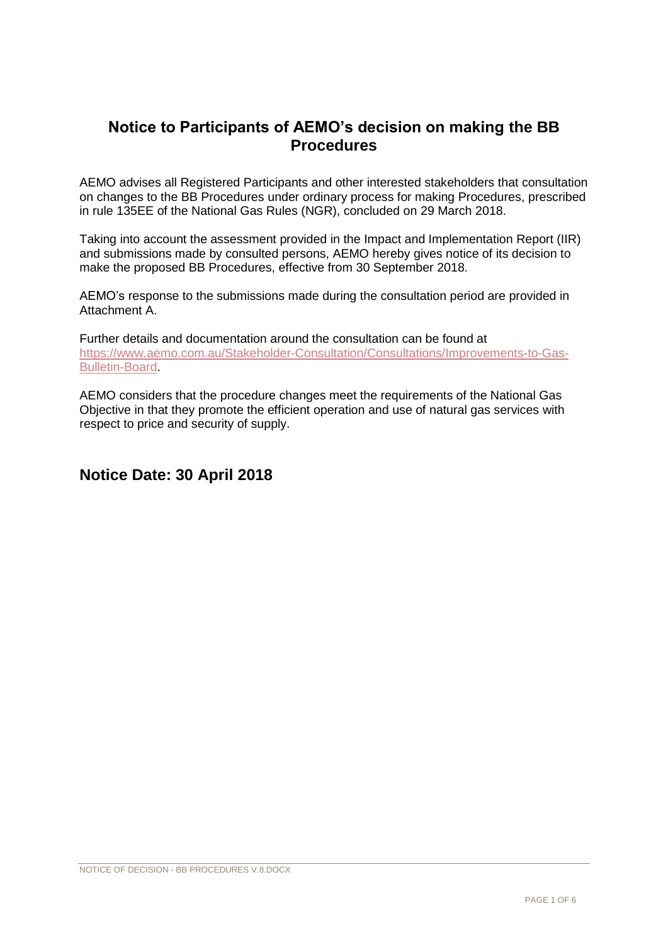## **Notice to Participants of AEMO's decision on making the BB Procedures**

AEMO advises all Registered Participants and other interested stakeholders that consultation on changes to the BB Procedures under ordinary process for making Procedures, prescribed in rule 135EE of the National Gas Rules (NGR), concluded on 29 March 2018.

Taking into account the assessment provided in the Impact and Implementation Report (IIR) and submissions made by consulted persons, AEMO hereby gives notice of its decision to make the proposed BB Procedures, effective from 30 September 2018.

AEMO's response to the submissions made during the consultation period are provided in Attachment A.

Further details and documentation around the consultation can be found at [https://www.aemo.com.au/Stakeholder-Consultation/Consultations/Improvements-to-Gas-](https://www.aemo.com.au/Stakeholder-Consultation/Consultations/Improvements-to-Gas-Bulletin-Board)[Bulletin-Board.](https://www.aemo.com.au/Stakeholder-Consultation/Consultations/Improvements-to-Gas-Bulletin-Board)

AEMO considers that the procedure changes meet the requirements of the National Gas Objective in that they promote the efficient operation and use of natural gas services with respect to price and security of supply.

## **Notice Date: 30 April 2018**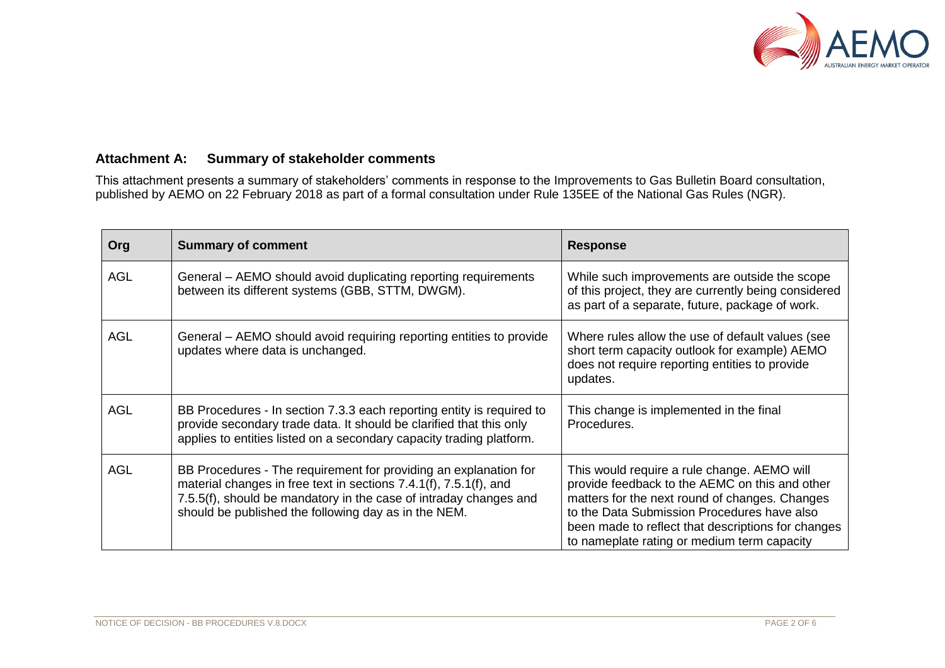

## **Attachment A: Summary of stakeholder comments**

This attachment presents a summary of stakeholders' comments in response to the Improvements to Gas Bulletin Board consultation, published by AEMO on 22 February 2018 as part of a formal consultation under Rule 135EE of the National Gas Rules (NGR).

| Org | <b>Summary of comment</b>                                                                                                                                                                                                                                          | <b>Response</b>                                                                                                                                                                                                                                                                                     |
|-----|--------------------------------------------------------------------------------------------------------------------------------------------------------------------------------------------------------------------------------------------------------------------|-----------------------------------------------------------------------------------------------------------------------------------------------------------------------------------------------------------------------------------------------------------------------------------------------------|
| AGL | General – AEMO should avoid duplicating reporting requirements<br>between its different systems (GBB, STTM, DWGM).                                                                                                                                                 | While such improvements are outside the scope<br>of this project, they are currently being considered<br>as part of a separate, future, package of work.                                                                                                                                            |
| AGL | General – AEMO should avoid requiring reporting entities to provide<br>updates where data is unchanged.                                                                                                                                                            | Where rules allow the use of default values (see<br>short term capacity outlook for example) AEMO<br>does not require reporting entities to provide<br>updates.                                                                                                                                     |
| AGL | BB Procedures - In section 7.3.3 each reporting entity is required to<br>provide secondary trade data. It should be clarified that this only<br>applies to entities listed on a secondary capacity trading platform.                                               | This change is implemented in the final<br>Procedures.                                                                                                                                                                                                                                              |
| AGL | BB Procedures - The requirement for providing an explanation for<br>material changes in free text in sections 7.4.1(f), 7.5.1(f), and<br>7.5.5(f), should be mandatory in the case of intraday changes and<br>should be published the following day as in the NEM. | This would require a rule change. AEMO will<br>provide feedback to the AEMC on this and other<br>matters for the next round of changes. Changes<br>to the Data Submission Procedures have also<br>been made to reflect that descriptions for changes<br>to nameplate rating or medium term capacity |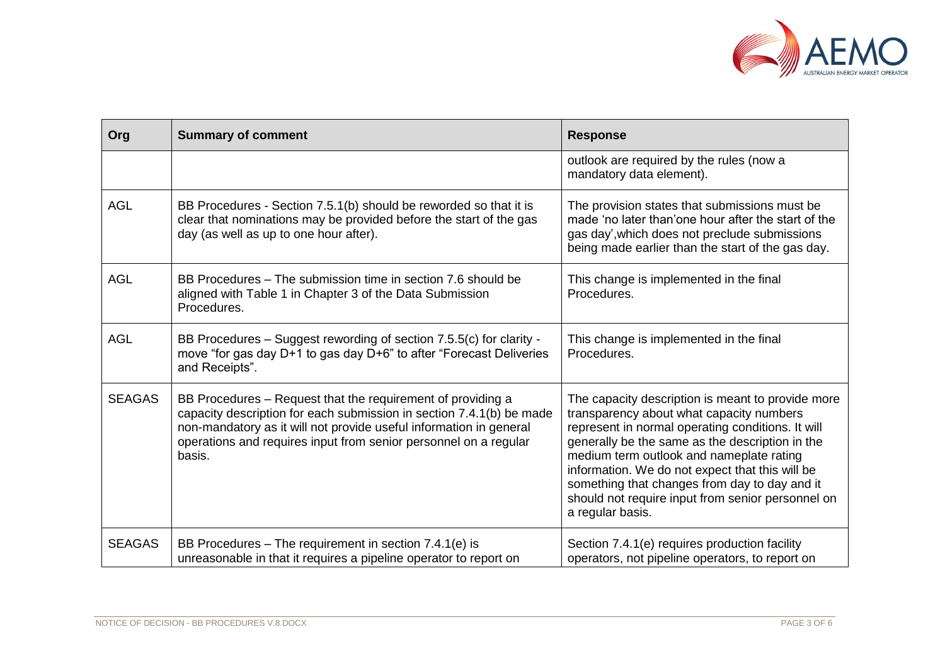

| Org           | <b>Summary of comment</b>                                                                                                                                                                                                                                                               | <b>Response</b>                                                                                                                                                                                                                                                                                                                                                                                                                |
|---------------|-----------------------------------------------------------------------------------------------------------------------------------------------------------------------------------------------------------------------------------------------------------------------------------------|--------------------------------------------------------------------------------------------------------------------------------------------------------------------------------------------------------------------------------------------------------------------------------------------------------------------------------------------------------------------------------------------------------------------------------|
|               |                                                                                                                                                                                                                                                                                         | outlook are required by the rules (now a<br>mandatory data element).                                                                                                                                                                                                                                                                                                                                                           |
| <b>AGL</b>    | BB Procedures - Section 7.5.1(b) should be reworded so that it is<br>clear that nominations may be provided before the start of the gas<br>day (as well as up to one hour after).                                                                                                       | The provision states that submissions must be<br>made 'no later than'one hour after the start of the<br>gas day', which does not preclude submissions<br>being made earlier than the start of the gas day.                                                                                                                                                                                                                     |
| <b>AGL</b>    | BB Procedures – The submission time in section 7.6 should be<br>aligned with Table 1 in Chapter 3 of the Data Submission<br>Procedures.                                                                                                                                                 | This change is implemented in the final<br>Procedures.                                                                                                                                                                                                                                                                                                                                                                         |
| <b>AGL</b>    | BB Procedures - Suggest rewording of section 7.5.5(c) for clarity -<br>move "for gas day D+1 to gas day D+6" to after "Forecast Deliveries<br>and Receipts".                                                                                                                            | This change is implemented in the final<br>Procedures.                                                                                                                                                                                                                                                                                                                                                                         |
| <b>SEAGAS</b> | BB Procedures – Request that the requirement of providing a<br>capacity description for each submission in section 7.4.1(b) be made<br>non-mandatory as it will not provide useful information in general<br>operations and requires input from senior personnel on a regular<br>basis. | The capacity description is meant to provide more<br>transparency about what capacity numbers<br>represent in normal operating conditions. It will<br>generally be the same as the description in the<br>medium term outlook and nameplate rating<br>information. We do not expect that this will be<br>something that changes from day to day and it<br>should not require input from senior personnel on<br>a regular basis. |
| <b>SEAGAS</b> | BB Procedures – The requirement in section 7.4.1(e) is<br>unreasonable in that it requires a pipeline operator to report on                                                                                                                                                             | Section 7.4.1(e) requires production facility<br>operators, not pipeline operators, to report on                                                                                                                                                                                                                                                                                                                               |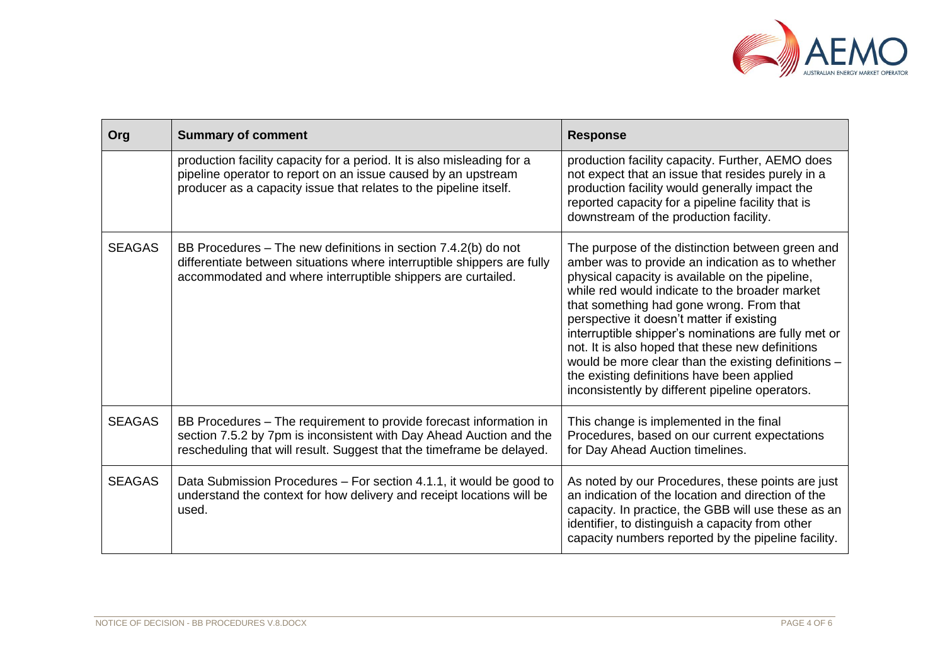

| Org           | <b>Summary of comment</b>                                                                                                                                                                                          | <b>Response</b>                                                                                                                                                                                                                                                                                                                                                                                                                                                                                                                                                        |
|---------------|--------------------------------------------------------------------------------------------------------------------------------------------------------------------------------------------------------------------|------------------------------------------------------------------------------------------------------------------------------------------------------------------------------------------------------------------------------------------------------------------------------------------------------------------------------------------------------------------------------------------------------------------------------------------------------------------------------------------------------------------------------------------------------------------------|
|               | production facility capacity for a period. It is also misleading for a<br>pipeline operator to report on an issue caused by an upstream<br>producer as a capacity issue that relates to the pipeline itself.       | production facility capacity. Further, AEMO does<br>not expect that an issue that resides purely in a<br>production facility would generally impact the<br>reported capacity for a pipeline facility that is<br>downstream of the production facility.                                                                                                                                                                                                                                                                                                                 |
| <b>SEAGAS</b> | BB Procedures – The new definitions in section 7.4.2(b) do not<br>differentiate between situations where interruptible shippers are fully<br>accommodated and where interruptible shippers are curtailed.          | The purpose of the distinction between green and<br>amber was to provide an indication as to whether<br>physical capacity is available on the pipeline,<br>while red would indicate to the broader market<br>that something had gone wrong. From that<br>perspective it doesn't matter if existing<br>interruptible shipper's nominations are fully met or<br>not. It is also hoped that these new definitions<br>would be more clear than the existing definitions -<br>the existing definitions have been applied<br>inconsistently by different pipeline operators. |
| <b>SEAGAS</b> | BB Procedures – The requirement to provide forecast information in<br>section 7.5.2 by 7pm is inconsistent with Day Ahead Auction and the<br>rescheduling that will result. Suggest that the timeframe be delayed. | This change is implemented in the final<br>Procedures, based on our current expectations<br>for Day Ahead Auction timelines.                                                                                                                                                                                                                                                                                                                                                                                                                                           |
| <b>SEAGAS</b> | Data Submission Procedures - For section 4.1.1, it would be good to<br>understand the context for how delivery and receipt locations will be<br>used.                                                              | As noted by our Procedures, these points are just<br>an indication of the location and direction of the<br>capacity. In practice, the GBB will use these as an<br>identifier, to distinguish a capacity from other<br>capacity numbers reported by the pipeline facility.                                                                                                                                                                                                                                                                                              |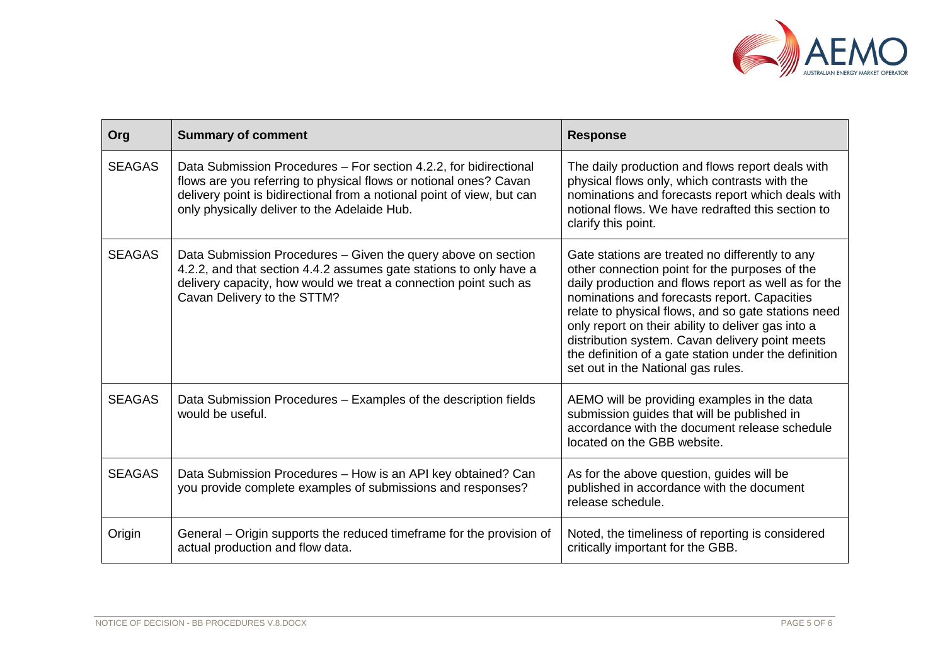

| Org           | <b>Summary of comment</b>                                                                                                                                                                                                                                        | <b>Response</b>                                                                                                                                                                                                                                                                                                                                                                                                                                                          |
|---------------|------------------------------------------------------------------------------------------------------------------------------------------------------------------------------------------------------------------------------------------------------------------|--------------------------------------------------------------------------------------------------------------------------------------------------------------------------------------------------------------------------------------------------------------------------------------------------------------------------------------------------------------------------------------------------------------------------------------------------------------------------|
| <b>SEAGAS</b> | Data Submission Procedures - For section 4.2.2, for bidirectional<br>flows are you referring to physical flows or notional ones? Cavan<br>delivery point is bidirectional from a notional point of view, but can<br>only physically deliver to the Adelaide Hub. | The daily production and flows report deals with<br>physical flows only, which contrasts with the<br>nominations and forecasts report which deals with<br>notional flows. We have redrafted this section to<br>clarify this point.                                                                                                                                                                                                                                       |
| <b>SEAGAS</b> | Data Submission Procedures - Given the query above on section<br>4.2.2, and that section 4.4.2 assumes gate stations to only have a<br>delivery capacity, how would we treat a connection point such as<br>Cavan Delivery to the STTM?                           | Gate stations are treated no differently to any<br>other connection point for the purposes of the<br>daily production and flows report as well as for the<br>nominations and forecasts report. Capacities<br>relate to physical flows, and so gate stations need<br>only report on their ability to deliver gas into a<br>distribution system. Cavan delivery point meets<br>the definition of a gate station under the definition<br>set out in the National gas rules. |
| <b>SEAGAS</b> | Data Submission Procedures - Examples of the description fields<br>would be useful.                                                                                                                                                                              | AEMO will be providing examples in the data<br>submission guides that will be published in<br>accordance with the document release schedule<br>located on the GBB website.                                                                                                                                                                                                                                                                                               |
| <b>SEAGAS</b> | Data Submission Procedures - How is an API key obtained? Can<br>you provide complete examples of submissions and responses?                                                                                                                                      | As for the above question, guides will be<br>published in accordance with the document<br>release schedule.                                                                                                                                                                                                                                                                                                                                                              |
| Origin        | General – Origin supports the reduced timeframe for the provision of<br>actual production and flow data.                                                                                                                                                         | Noted, the timeliness of reporting is considered<br>critically important for the GBB.                                                                                                                                                                                                                                                                                                                                                                                    |